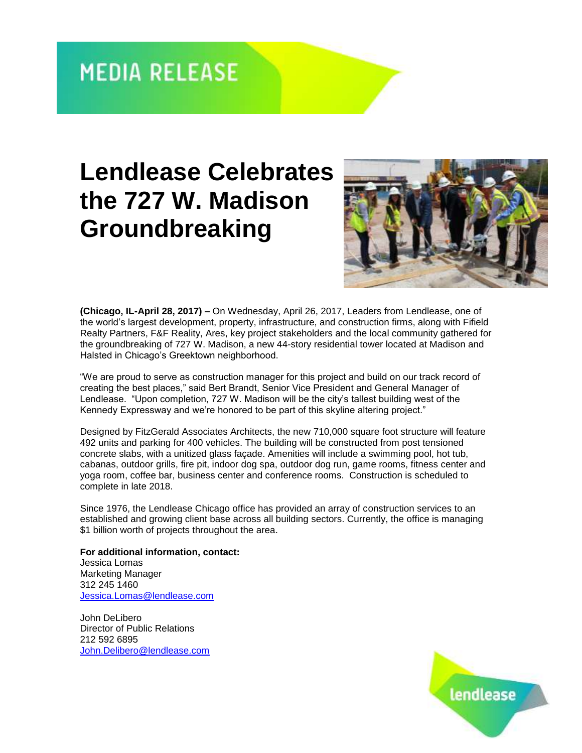## **MEDIA RELEASE**

## **Lendlease Celebrates the 727 W. Madison Groundbreaking**



**(Chicago, IL-April 28, 2017) –** On Wednesday, April 26, 2017, Leaders from Lendlease, one of the world's largest development, property, infrastructure, and construction firms, along with Fifield Realty Partners, F&F Reality, Ares, key project stakeholders and the local community gathered for the groundbreaking of 727 W. Madison, a new 44-story residential tower located at Madison and Halsted in Chicago's Greektown neighborhood.

"We are proud to serve as construction manager for this project and build on our track record of creating the best places," said Bert Brandt, Senior Vice President and General Manager of Lendlease. "Upon completion, 727 W. Madison will be the city's tallest building west of the Kennedy Expressway and we're honored to be part of this skyline altering project."

Designed by FitzGerald Associates Architects, the new 710,000 square foot structure will feature 492 units and parking for 400 vehicles. The building will be constructed from post tensioned concrete slabs, with a unitized glass façade. Amenities will include a swimming pool, hot tub, cabanas, outdoor grills, fire pit, indoor dog spa, outdoor dog run, game rooms, fitness center and yoga room, coffee bar, business center and conference rooms. Construction is scheduled to complete in late 2018.

Since 1976, the Lendlease Chicago office has provided an array of construction services to an established and growing client base across all building sectors. Currently, the office is managing \$1 billion worth of projects throughout the area.

**For additional information, contact:** Jessica Lomas Marketing Manager 312 245 1460 [Jessica.Lomas@lendlease.com](mailto:Jessica.Lomas@lendlease.com)

John DeLibero Director of Public Relations 212 592 6895 [John.Delibero@lendlease.com](mailto:John.Delibero@lendlease.com)